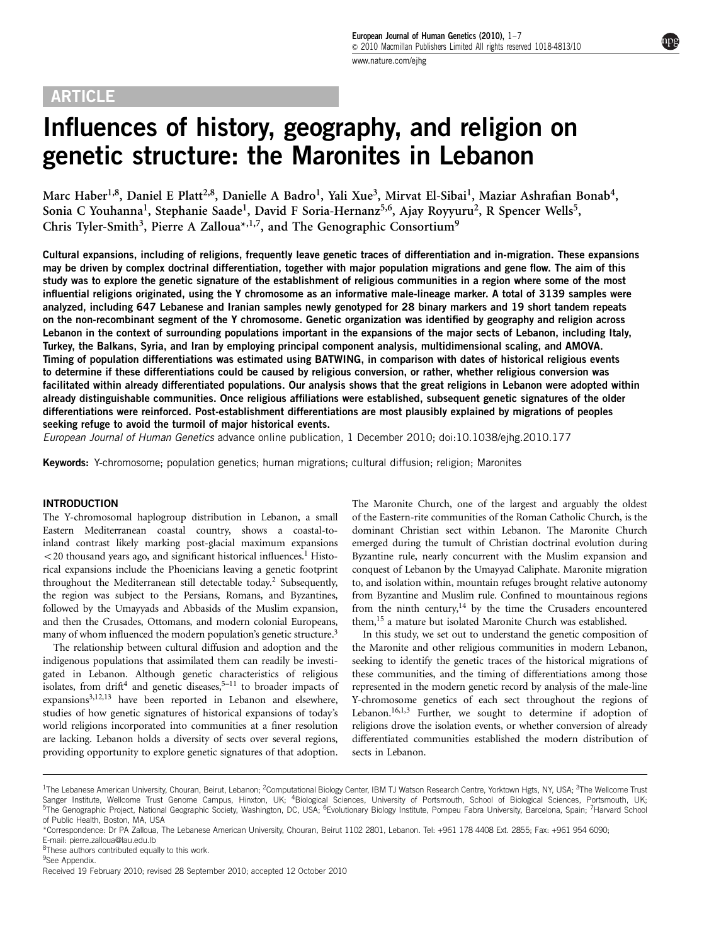# ARTICLE

Influences of history, geography, and religion on genetic structure: the Maronites in Lebanon

Marc Haber<sup>1,8</sup>, Daniel E Platt<sup>2,8</sup>, Danielle A Badro<sup>1</sup>, Yali Xue<sup>3</sup>, Mirvat El-Sibai<sup>1</sup>, Maziar Ashrafian Bonab<sup>4</sup>, Sonia C Youhanna<sup>1</sup>, Stephanie Saade<sup>1</sup>, David F Soria-Hernanz<sup>5,6</sup>, Ajay Royyuru<sup>2</sup>, R Spencer Wells<sup>5</sup>, Chris Tyler-Smith<sup>3</sup>, Pierre A Zalloua<sup>\*,1,7</sup>, and The Genographic Consortium<sup>9</sup>

Cultural expansions, including of religions, frequently leave genetic traces of differentiation and in-migration. These expansions may be driven by complex doctrinal differentiation, together with major population migrations and gene flow. The aim of this study was to explore the genetic signature of the establishment of religious communities in a region where some of the most influential religions originated, using the Y chromosome as an informative male-lineage marker. A total of 3139 samples were analyzed, including 647 Lebanese and Iranian samples newly genotyped for 28 binary markers and 19 short tandem repeats on the non-recombinant segment of the Y chromosome. Genetic organization was identified by geography and religion across Lebanon in the context of surrounding populations important in the expansions of the major sects of Lebanon, including Italy, Turkey, the Balkans, Syria, and Iran by employing principal component analysis, multidimensional scaling, and AMOVA. Timing of population differentiations was estimated using BATWING, in comparison with dates of historical religious events to determine if these differentiations could be caused by religious conversion, or rather, whether religious conversion was facilitated within already differentiated populations. Our analysis shows that the great religions in Lebanon were adopted within already distinguishable communities. Once religious affiliations were established, subsequent genetic signatures of the older differentiations were reinforced. Post-establishment differentiations are most plausibly explained by migrations of peoples seeking refuge to avoid the turmoil of major historical events.

European Journal of Human Genetics advance online publication, 1 December 2010; doi[:10.1038/ejhg.2010.177](http://dx.doi.org/10.1038/ejhg.2010.177)

Keywords: Y-chromosome; population genetics; human migrations; cultural diffusion; religion; Maronites

# INTRODUCTION

The Y-chromosomal haplogroup distribution in Lebanon, a small Eastern Mediterranean coastal country, shows a coastal-toinland contrast likely marking post-glacial maximum expansions  $<$  20 thousand years ago, and significant historical influences.<sup>[1](#page-5-0)</sup> Historical expansions include the Phoenicians leaving a genetic footprint throughout the Mediterranean still detectable today.[2](#page-6-0) Subsequently, the region was subject to the Persians, Romans, and Byzantines, followed by the Umayyads and Abbasids of the Muslim expansion, and then the Crusades, Ottomans, and modern colonial Europeans, many of whom influenced the modern population's genetic structure.<sup>[3](#page-6-0)</sup>

The relationship between cultural diffusion and adoption and the indigenous populations that assimilated them can readily be investigated in Lebanon. Although genetic characteristics of religious isolates, from drift<sup>4</sup> and genetic diseases,<sup>5–11</sup> to broader impacts of  $expansions<sup>3,12,13</sup>$  $expansions<sup>3,12,13</sup>$  $expansions<sup>3,12,13</sup>$  have been reported in Lebanon and elsewhere, studies of how genetic signatures of historical expansions of today's world religions incorporated into communities at a finer resolution are lacking. Lebanon holds a diversity of sects over several regions, providing opportunity to explore genetic signatures of that adoption. The Maronite Church, one of the largest and arguably the oldest of the Eastern-rite communities of the Roman Catholic Church, is the dominant Christian sect within Lebanon. The Maronite Church emerged during the tumult of Christian doctrinal evolution during Byzantine rule, nearly concurrent with the Muslim expansion and conquest of Lebanon by the Umayyad Caliphate. Maronite migration to, and isolation within, mountain refuges brought relative autonomy from Byzantine and Muslim rule. Confined to mountainous regions from the ninth century,<sup>14</sup> by the time the Crusaders encountered them,<sup>15</sup> a mature but isolated Maronite Church was established.

In this study, we set out to understand the genetic composition of the Maronite and other religious communities in modern Lebanon, seeking to identify the genetic traces of the historical migrations of these communities, and the timing of differentiations among those represented in the modern genetic record by analysis of the male-line Y-chromosome genetics of each sect throughout the regions of Lebanon.<sup>[16,1,3](#page-6-0)</sup> Further, we sought to determine if adoption of religions drove the isolation events, or whether conversion of already differentiated communities established the modern distribution of sects in Lebanon.

<sup>&</sup>lt;sup>1</sup>The Lebanese American University, Chouran, Beirut, Lebanon; <sup>2</sup>Computational Biology Center, IBM TJ Watson Research Centre, Yorktown Hgts, NY, USA; <sup>3</sup>The Wellcome Trust Sanger Institute, Wellcome Trust Genome Campus, Hinxton, UK; <sup>4</sup>Biological Sciences, University of Portsmouth, School of Biological Sciences, Portsmouth, UK; <sup>5</sup>The Genographic Project, National Geographic Society, Washington, DC, USA; <sup>6</sup>Evolutionary Biology Institute, Pompeu Fabra University, Barcelona, Spain; 7Harvard School of Public Health, Boston, MA, USA

<sup>\*</sup>Correspondence: Dr PA Zalloua, The Lebanese American University, Chouran, Beirut 1102 2801, Lebanon. Tel: +961 178 4408 Ext. 2855; Fax: +961 954 6090; E-mail: [pierre.zalloua@lau.edu.lb](mailto:pierre.zalloua@lau.edu.lb)

<sup>&</sup>lt;sup>8</sup>These authors contributed equally to this work.

<sup>&</sup>lt;sup>9</sup>See Appendix.

Received 19 February 2010; revised 28 September 2010; accepted 12 October 2010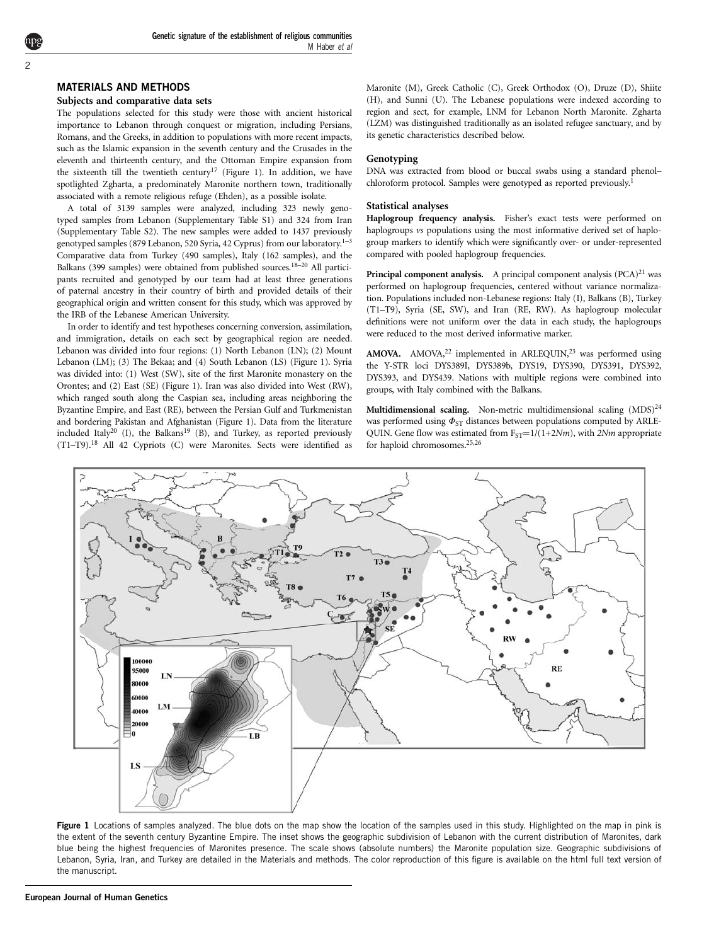# MATERIALS AND METHODS

### Subjects and comparative data sets

The populations selected for this study were those with ancient historical importance to Lebanon through conquest or migration, including Persians, Romans, and the Greeks, in addition to populations with more recent impacts, such as the Islamic expansion in the seventh century and the Crusades in the eleventh and thirteenth century, and the Ottoman Empire expansion from the sixteenth till the twentieth century<sup>[17](#page-6-0)</sup> (Figure 1). In addition, we have spotlighted Zgharta, a predominately Maronite northern town, traditionally associated with a remote religious refuge (Ehden), as a possible isolate.

A total of 3139 samples were analyzed, including 323 newly genotyped samples from Lebanon (Supplementary Table S1) and 324 from Iran (Supplementary Table S2). The new samples were added to 1437 previously genotyped samples (879 Lebanon, 520 Syria, 42 Cyprus) from our laboratory.<sup>1-3</sup> Comparative data from Turkey (490 samples), Italy (162 samples), and the Balkans (399 samples) were obtained from published sources.[18–20](#page-6-0) All participants recruited and genotyped by our team had at least three generations of paternal ancestry in their country of birth and provided details of their geographical origin and written consent for this study, which was approved by the IRB of the Lebanese American University.

In order to identify and test hypotheses concerning conversion, assimilation, and immigration, details on each sect by geographical region are needed. Lebanon was divided into four regions: (1) North Lebanon (LN); (2) Mount Lebanon (LM); (3) The Bekaa; and (4) South Lebanon (LS) (Figure 1). Syria was divided into: (1) West (SW), site of the first Maronite monastery on the Orontes; and (2) East (SE) (Figure 1). Iran was also divided into West (RW), which ranged south along the Caspian sea, including areas neighboring the Byzantine Empire, and East (RE), between the Persian Gulf and Turkmenistan and bordering Pakistan and Afghanistan (Figure 1). Data from the literature included Italy<sup>[20](#page-6-0)</sup> (I), the Balkans<sup>19</sup> (B), and Turkey, as reported previously (T1–T9)[.18](#page-6-0) All 42 Cypriots (C) were Maronites. Sects were identified as

Maronite (M), Greek Catholic (C), Greek Orthodox (O), Druze (D), Shiite (H), and Sunni (U). The Lebanese populations were indexed according to region and sect, for example, LNM for Lebanon North Maronite. Zgharta (LZM) was distinguished traditionally as an isolated refugee sanctuary, and by its genetic characteristics described below.

#### Genotyping

DNA was extracted from blood or buccal swabs using a standard phenol– chloroform protocol. Samples were genotyped as reported previously.<sup>[1](#page-5-0)</sup>

## Statistical analyses

Haplogroup frequency analysis. Fisher's exact tests were performed on haplogroups vs populations using the most informative derived set of haplogroup markers to identify which were significantly over- or under-represented compared with pooled haplogroup frequencies.

**Principal component analysis.** A principal component analysis  $(PCA)^{21}$  $(PCA)^{21}$  $(PCA)^{21}$  was performed on haplogroup frequencies, centered without variance normalization. Populations included non-Lebanese regions: Italy (I), Balkans (B), Turkey (T1–T9), Syria (SE, SW), and Iran (RE, RW). As haplogroup molecular definitions were not uniform over the data in each study, the haplogroups were reduced to the most derived informative marker.

AMOVA. AMOVA, $^{22}$  $^{22}$  $^{22}$  implemented in ARLEQUIN, $^{23}$  was performed using the Y-STR loci DYS389I, DYS389b, DYS19, DYS390, DYS391, DYS392, DYS393, and DYS439. Nations with multiple regions were combined into groups, with Italy combined with the Balkans.

Multidimensional scaling. Non-metric multidimensional scaling  $(MDS)^{24}$ was performed using  $\Phi_{ST}$  distances between populations computed by ARLE-QUIN. Gene flow was estimated from  $F_{ST} = 1/(1+2Nm)$ , with  $2Nm$  appropriate for haploid chromosomes.[25,26](#page-6-0)



Figure 1 Locations of samples analyzed. The blue dots on the map show the location of the samples used in this study. Highlighted on the map in pink is the extent of the seventh century Byzantine Empire. The inset shows the geographic subdivision of Lebanon with the current distribution of Maronites, dark blue being the highest frequencies of Maronites presence. The scale shows (absolute numbers) the Maronite population size. Geographic subdivisions of Lebanon, Syria, Iran, and Turkey are detailed in the Materials and methods. The color reproduction of this figure is available on the html full text version of the manuscript.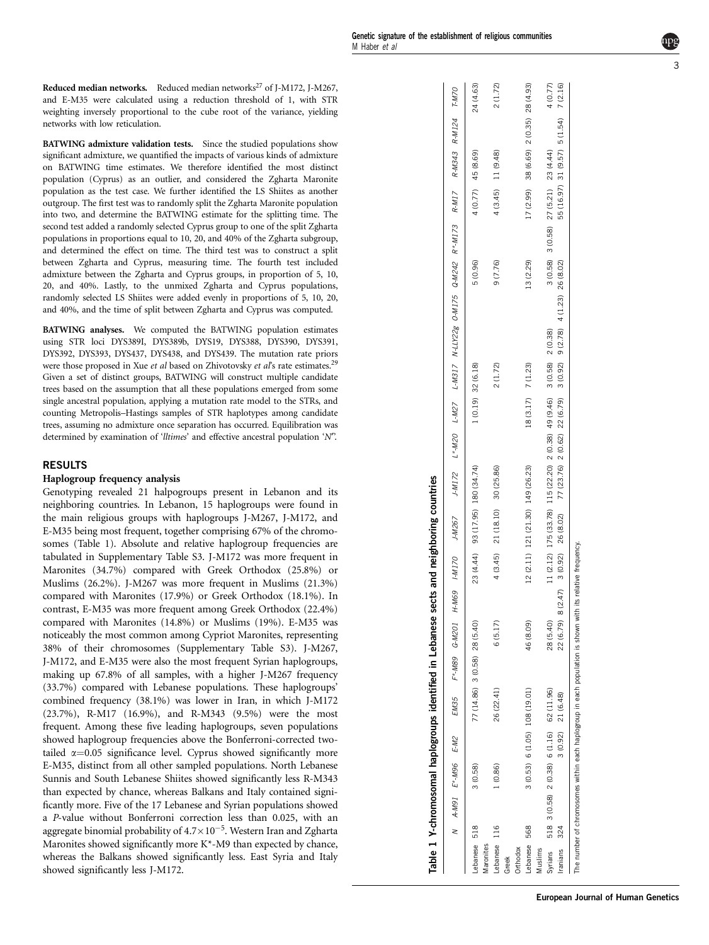3

Reduced median networks. Reduced median networks<sup>27</sup> of J-M172, J-M267, and E-M35 were calculated using a reduction threshold of 1, with STR weighting inversely proportional to the cube root of the variance, yielding networks with low reticulation.

BATWING admixture validation tests. Since the studied populations show significant admixture, we quantified the impacts of various kinds of admixture on BATWING time estimates. We therefore identified the most distinct population (Cyprus) as an outlier, and considered the Zgharta Maronite population as the test case. We further identified the LS Shiites as another outgroup. The first test was to randomly split the Zgharta Maronite population into two, and determine the BATWING estimate for the splitting time. The second test added a randomly selected Cyprus group to one of the split Zgharta populations in proportions equal to 10, 20, and 40% of the Zgharta subgroup, and determined the effect on time. The third test was to construct a split between Zgharta and Cyprus, measuring time. The fourth test included admixture between the Zgharta and Cyprus groups, in proportion of 5, 10, 20, and 40%. Lastly, to the unmixed Zgharta and Cyprus populations, randomly selected LS Shiites were added evenly in proportions of 5, 10, 20, and 40%, and the time of split between Zgharta and Cyprus was computed.

BATWING analyses. We computed the BATWING population estimates using STR loci DYS389I, DYS389b, DYS19, DYS388, DYS390, DYS391, DYS392, DYS393, DYS437, DYS438, and DYS439. The mutation rate priors were those proposed in Xue *et al* based on Zhivotovsky *et al's* rate estimates.<sup>29</sup> Given a set of distinct groups, BATWING will construct multiple candidate trees based on the assumption that all these populations emerged from some single ancestral population, applying a mutation rate model to the STRs, and counting Metropolis–Hastings samples of STR haplotypes among candidate trees, assuming no admixture once separation has occurred. Equilibration was determined by examination of 'lltimes' and effective ancestral population 'N'.

# RESULTS

# Haplogroup frequency analysis

Genotyping revealed 21 halpogroups present in Lebanon and its neighboring countries. In Lebanon, 15 haplogroups were found in the main religious groups with haplogroups J-M267, J-M172, and E-M35 being most frequent, together comprising 67% of the chromosomes (Table 1). Absolute and relative haplogroup frequencies are tabulated in Supplementary Table S3. J-M172 was more frequent in Maronites (34.7%) compared with Greek Orthodox (25.8%) or Muslims (26.2%). J-M267 was more frequent in Muslims (21.3%) compared with Maronites (17.9%) or Greek Orthodox (18.1%). In contrast, E-M35 was more frequent among Greek Orthodox (22.4%) compared with Maronites (14.8%) or Muslims (19%). E-M35 was noticeably the most common among Cypriot Maronites, representing 38% of their chromosomes (Supplementary Table S3). J-M267, J-M172, and E-M35 were also the most frequent Syrian haplogroups, making up 67.8% of all samples, with a higher J-M267 frequency (33.7%) compared with Lebanese populations. These haplogroups' combined frequency (38.1%) was lower in Iran, in which J-M172 (23.7%), R-M17 (16.9%), and R-M343 (9.5%) were the most frequent. Among these five leading haplogroups, seven populations showed haplogroup frequencies above the Bonferroni-corrected twotailed  $\alpha$ =0.05 significance level. Cyprus showed significantly more E-M35, distinct from all other sampled populations. North Lebanese Sunnis and South Lebanese Shiites showed significantly less R-M343 than expected by chance, whereas Balkans and Italy contained significantly more. Five of the 17 Lebanese and Syrian populations showed a P-value without Bonferroni correction less than 0.025, with an aggregate binomial probability of  $4.7 \times 10^{-5}$ . Western Iran and Zgharta Maronites showed significantly more K\*-M9 than expected by chance, whereas the Balkans showed significantly less. East Syria and Italy showed significantly less J-M172.

|                                |     | Table 1 Y-chromosomal haplogroups identified in Lebanese                                                 |         |                               |                            |                        | sects and neighboring countries   |                                                                        |                    |                                                                                                                                      |                                       |                                        |                      |
|--------------------------------|-----|----------------------------------------------------------------------------------------------------------|---------|-------------------------------|----------------------------|------------------------|-----------------------------------|------------------------------------------------------------------------|--------------------|--------------------------------------------------------------------------------------------------------------------------------------|---------------------------------------|----------------------------------------|----------------------|
|                                |     | N A-M91 E*-M96 E-M2                                                                                      |         | EM35                          | F <sup>*</sup> -M89 G-M201 |                        |                                   |                                                                        |                    | 14.M32 14.M326 14.M267 14.M27 14.M20 14.M27 14.M317 N-W317 0-M128 0-M175 Q-M224 14.M173 R*1.M17                                      |                                       | R-M343 R-M124                          | T-M70                |
| ebanese<br>Maronites           | 518 | 3(0.58)                                                                                                  |         | 77 (14.86) 3 (0.58) 28 (5.40) |                            |                        |                                   | 23 (4.44) 93 (17.95) 180 (34.74)                                       | 1 (0.19) 32 (6.18) |                                                                                                                                      | 5(0.96)                               | 4 (0.77) 45 (8.69)                     | 24 (4.63)            |
| ebanese 116<br>Greek           |     | (0.86)                                                                                                   |         | 26 (22.41)                    |                            | 6(5.17)                |                                   | 4 (3.45) 21 (18.10) 30 (25.86)                                         | 2(1.72)            |                                                                                                                                      | 9(7.76)                               | 4 (3.45) 11 (9.48)                     | 2(1.72)              |
| ebanese<br><b>hthodox</b>      | 568 |                                                                                                          |         | 3 (0.53) 6 (1.05) 108 (19.01) |                            | 46 (8.09)              | 12 (2.11) 121 (21.30) 149 (26.23) |                                                                        | 18 (3.17) 7 (1.23) |                                                                                                                                      | 13 (2.29)                             | 17 (2.99) 38 (6.69) 2 (0.35) 28 (4.93) |                      |
| Syrians<br>Vluslims<br>ranians | 324 | 518 3 (0.58) 2 (0.38) 6 (1.16) 62 (11.96)                                                                | 3(0.92) | 21 (6.48)                     |                            | 28 (5.40)<br>22 (6.79) |                                   | 11 (2.12) 175 (33.78) 115 (22.20) 2 (0.38) 49 (9.46) 3 (0.58) 2 (0.38) |                    | $8(2.47)$ $3(0.92)$ $26(8.02)$ $77(23.76)$ $2(0.62)$ $2(0.62)$ $2(0.62)$ $2(0.62)$ $2(0.62)$ $2(0.62)$ $2(0.62)$ $2(0.62)$ $2(0.62)$ | 3 (0.58) 3 (0.58) 27 (5.21) 23 (4.44) | 55 (16.97) 31 (9.57) 5 (1.54)          | 4 (0.77)<br>7 (2.16) |
|                                |     | The number of chromosomes within each haplogroup in each population is shown with its relative frequency |         |                               |                            |                        |                                   |                                                                        |                    |                                                                                                                                      |                                       |                                        |                      |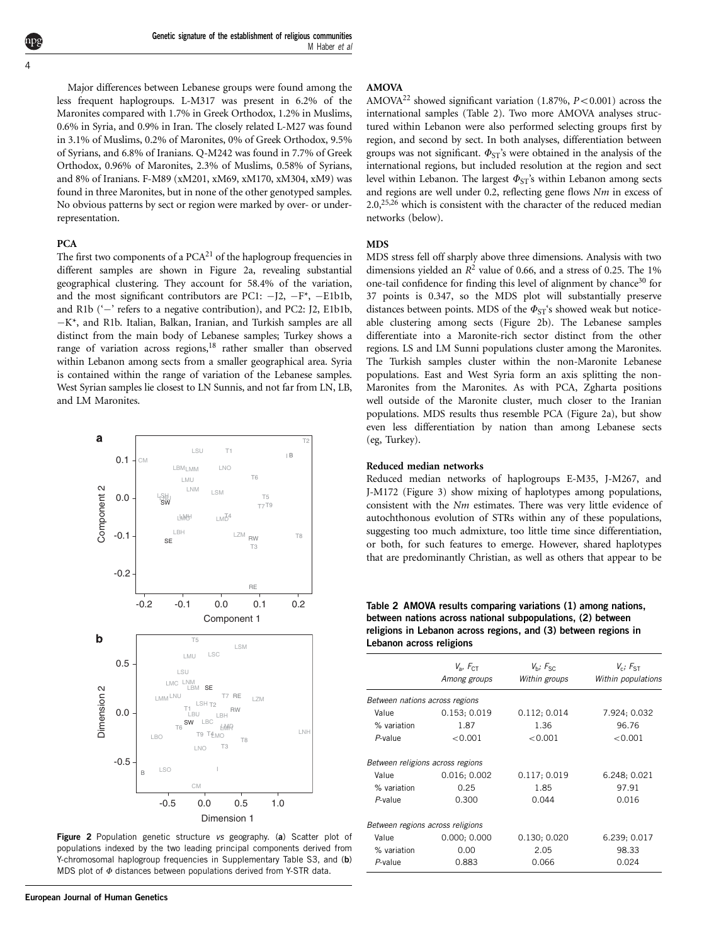<span id="page-3-0"></span>Major differences between Lebanese groups were found among the less frequent haplogroups. L-M317 was present in 6.2% of the Maronites compared with 1.7% in Greek Orthodox, 1.2% in Muslims, 0.6% in Syria, and 0.9% in Iran. The closely related L-M27 was found in 3.1% of Muslims, 0.2% of Maronites, 0% of Greek Orthodox, 9.5% of Syrians, and 6.8% of Iranians. Q-M242 was found in 7.7% of Greek Orthodox, 0.96% of Maronites, 2.3% of Muslims, 0.58% of Syrians, and 8% of Iranians. F-M89 (xM201, xM69, xM170, xM304, xM9) was found in three Maronites, but in none of the other genotyped samples. No obvious patterns by sect or region were marked by over- or underrepresentation.

## PCA

The first two components of a  $PCA<sup>21</sup>$  $PCA<sup>21</sup>$  $PCA<sup>21</sup>$  of the haplogroup frequencies in different samples are shown in Figure 2a, revealing substantial geographical clustering. They account for 58.4% of the variation, and the most significant contributors are PC1:  $-I2$ ,  $-F^*$ ,  $-E1b1b$ , and R1b ( $\div$  refers to a negative contribution), and PC2: J2, E1b1b,  $-K^*$ , and R1b. Italian, Balkan, Iranian, and Turkish samples are all distinct from the main body of Lebanese samples; Turkey shows a range of variation across regions,<sup>18</sup> rather smaller than observed within Lebanon among sects from a smaller geographical area. Syria is contained within the range of variation of the Lebanese samples. West Syrian samples lie closest to LN Sunnis, and not far from LN, LB, and LM Maronites.



Figure 2 Population genetic structure vs geography. (a) Scatter plot of populations indexed by the two leading principal components derived from Y-chromosomal haplogroup frequencies in Supplementary Table S3, and (b) MDS plot of  $\Phi$  distances between populations derived from Y-STR data.

#### AMOVA

AMOVA<sup>[22](#page-6-0)</sup> showed significant variation (1.87%,  $P < 0.001$ ) across the international samples (Table 2). Two more AMOVA analyses structured within Lebanon were also performed selecting groups first by region, and second by sect. In both analyses, differentiation between groups was not significant.  $\Phi_{ST}$ 's were obtained in the analysis of the international regions, but included resolution at the region and sect level within Lebanon. The largest  $\Phi_{ST}$ 's within Lebanon among sects and regions are well under 0.2, reflecting gene flows Nm in excess of  $2.0$ <sup>25,26</sup> which is consistent with the character of the reduced median networks (below).

## MDS

MDS stress fell off sharply above three dimensions. Analysis with two dimensions yielded an  $R^2$  value of 0.66, and a stress of 0.25. The 1% one-tail confidence for finding this level of alignment by chance<sup>30</sup> for 37 points is 0.347, so the MDS plot will substantially preserve distances between points. MDS of the  $\Phi_{ST}$ 's showed weak but noticeable clustering among sects (Figure 2b). The Lebanese samples differentiate into a Maronite-rich sector distinct from the other regions. LS and LM Sunni populations cluster among the Maronites. The Turkish samples cluster within the non-Maronite Lebanese populations. East and West Syria form an axis splitting the non-Maronites from the Maronites. As with PCA, Zgharta positions well outside of the Maronite cluster, much closer to the Iranian populations. MDS results thus resemble PCA (Figure 2a), but show even less differentiation by nation than among Lebanese sects (eg, Turkey).

#### Reduced median networks

Reduced median networks of haplogroups E-M35, J-M267, and J-M172 ([Figure 3](#page-4-0)) show mixing of haplotypes among populations, consistent with the Nm estimates. There was very little evidence of autochthonous evolution of STRs within any of these populations, suggesting too much admixture, too little time since differentiation, or both, for such features to emerge. However, shared haplotypes that are predominantly Christian, as well as others that appear to be

Table 2 AMOVA results comparing variations (1) among nations, between nations across national subpopulations, (2) between religions in Lebanon across regions, and (3) between regions in Lebanon across religions

|                                  | $V_{\rm a}$ , $F_{\rm CT}$<br>Among groups | $V_h$ ; $F_{SC}$<br>Within groups | $V_c$ ; $F_{ST}$<br>Within populations |
|----------------------------------|--------------------------------------------|-----------------------------------|----------------------------------------|
| Between nations across regions   |                                            |                                   |                                        |
| Value                            | 0.153; 0.019                               | 0.112; 0.014                      | 7.924; 0.032                           |
| % variation                      | 1.87                                       | 1.36                              | 96.76                                  |
| $P$ -value                       | < 0.001                                    | < 0.001                           | < 0.001                                |
| Between religions across regions |                                            |                                   |                                        |
| Value                            | 0.016; 0.002                               | 0.117; 0.019                      | 6.248; 0.021                           |
| % variation                      | 0.25                                       | 1.85                              | 97.91                                  |
| $P$ -value                       | 0.300                                      | 0.044                             | 0.016                                  |
| Between regions across religions |                                            |                                   |                                        |
| Value                            | 0.000; 0.000                               | 0.130; 0.020                      | 6.239; 0.017                           |
| % variation                      | 0.00                                       | 2.05                              | 98.33                                  |
| $P$ -value                       | 0.883                                      | 0.066                             | 0.024                                  |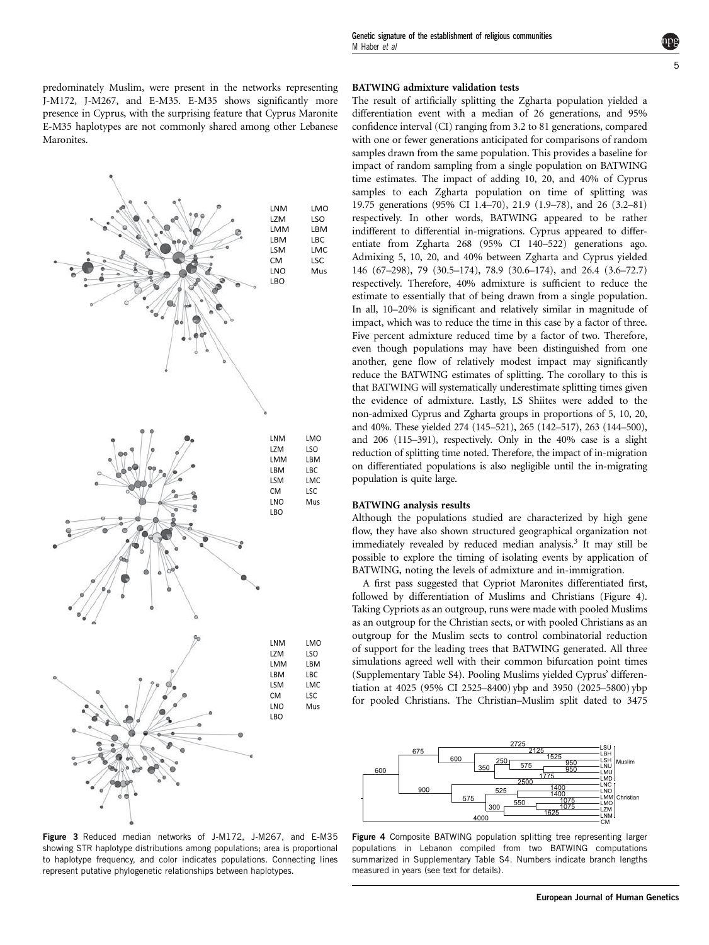<span id="page-4-0"></span>

Figure 3 Reduced median networks of J-M172, J-M267, and E-M35 showing STR haplotype distributions among populations; area is proportional to haplotype frequency, and color indicates populations. Connecting lines represent putative phylogenetic relationships between haplotypes.

### BATWING admixture validation tests

The result of artificially splitting the Zgharta population yielded a differentiation event with a median of 26 generations, and 95% confidence interval (CI) ranging from 3.2 to 81 generations, compared with one or fewer generations anticipated for comparisons of random samples drawn from the same population. This provides a baseline for impact of random sampling from a single population on BATWING time estimates. The impact of adding 10, 20, and 40% of Cyprus samples to each Zgharta population on time of splitting was 19.75 generations (95% CI 1.4–70), 21.9 (1.9–78), and 26 (3.2–81) respectively. In other words, BATWING appeared to be rather indifferent to differential in-migrations. Cyprus appeared to differentiate from Zgharta 268 (95% CI 140–522) generations ago. Admixing 5, 10, 20, and 40% between Zgharta and Cyprus yielded 146 (67–298), 79 (30.5–174), 78.9 (30.6–174), and 26.4 (3.6–72.7) respectively. Therefore, 40% admixture is sufficient to reduce the estimate to essentially that of being drawn from a single population. In all, 10–20% is significant and relatively similar in magnitude of impact, which was to reduce the time in this case by a factor of three. Five percent admixture reduced time by a factor of two. Therefore, even though populations may have been distinguished from one another, gene flow of relatively modest impact may significantly reduce the BATWING estimates of splitting. The corollary to this is that BATWING will systematically underestimate splitting times given the evidence of admixture. Lastly, LS Shiites were added to the non-admixed Cyprus and Zgharta groups in proportions of 5, 10, 20, and 40%. These yielded 274 (145–521), 265 (142–517), 263 (144–500), and 206 (115–391), respectively. Only in the 40% case is a slight reduction of splitting time noted. Therefore, the impact of in-migration on differentiated populations is also negligible until the in-migrating population is quite large.

#### BATWING analysis results

Although the populations studied are characterized by high gene flow, they have also shown structured geographical organization not immediately revealed by reduced median analysis.<sup>3</sup> It may still be possible to explore the timing of isolating events by application of BATWING, noting the levels of admixture and in-immigration.

A first pass suggested that Cypriot Maronites differentiated first, followed by differentiation of Muslims and Christians (Figure 4). Taking Cypriots as an outgroup, runs were made with pooled Muslims as an outgroup for the Christian sects, or with pooled Christians as an outgroup for the Muslim sects to control combinatorial reduction of support for the leading trees that BATWING generated. All three simulations agreed well with their common bifurcation point times (Supplementary Table S4). Pooling Muslims yielded Cyprus' differentiation at 4025 (95% CI 2525–8400) ybp and 3950 (2025–5800) ybp for pooled Christians. The Christian–Muslim split dated to 3475



Figure 4 Composite BATWING population splitting tree representing larger populations in Lebanon compiled from two BATWING computations summarized in Supplementary Table S4. Numbers indicate branch lengths measured in years (see text for details).

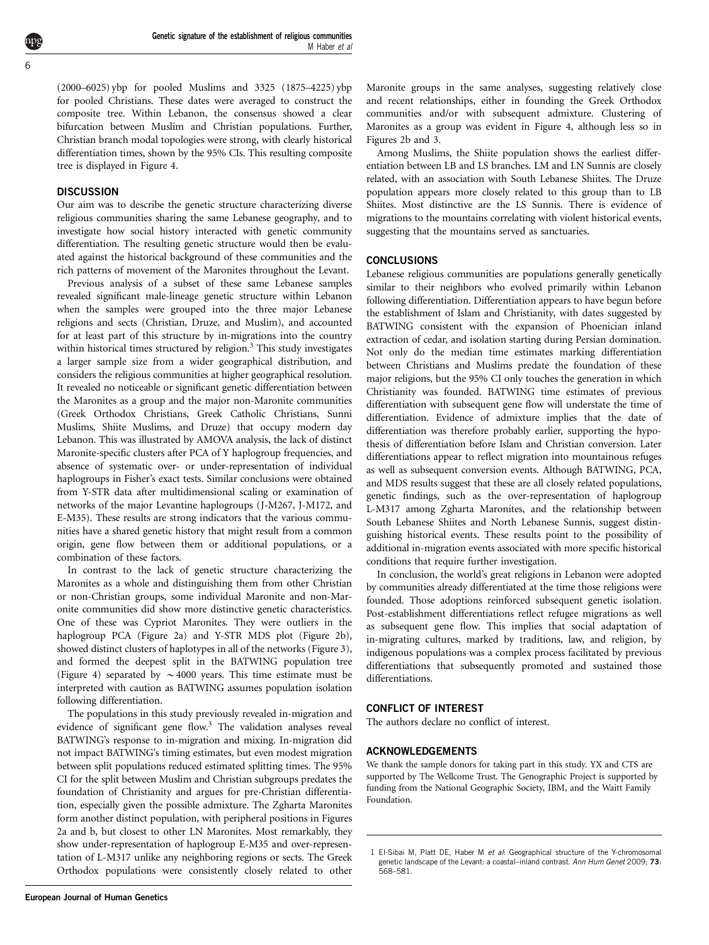<span id="page-5-0"></span>(2000–6025) ybp for pooled Muslims and 3325 (1875–4225) ybp for pooled Christians. These dates were averaged to construct the composite tree. Within Lebanon, the consensus showed a clear bifurcation between Muslim and Christian populations. Further, Christian branch modal topologies were strong, with clearly historical differentiation times, shown by the 95% CIs. This resulting composite tree is displayed in [Figure 4.](#page-4-0)

## **DISCUSSION**

Our aim was to describe the genetic structure characterizing diverse religious communities sharing the same Lebanese geography, and to investigate how social history interacted with genetic community differentiation. The resulting genetic structure would then be evaluated against the historical background of these communities and the rich patterns of movement of the Maronites throughout the Levant.

Previous analysis of a subset of these same Lebanese samples revealed significant male-lineage genetic structure within Lebanon when the samples were grouped into the three major Lebanese religions and sects (Christian, Druze, and Muslim), and accounted for at least part of this structure by in-migrations into the country within historical times structured by religion.<sup>[3](#page-6-0)</sup> This study investigates a larger sample size from a wider geographical distribution, and considers the religious communities at higher geographical resolution. It revealed no noticeable or significant genetic differentiation between the Maronites as a group and the major non-Maronite communities (Greek Orthodox Christians, Greek Catholic Christians, Sunni Muslims, Shiite Muslims, and Druze) that occupy modern day Lebanon. This was illustrated by AMOVA analysis, the lack of distinct Maronite-specific clusters after PCA of Y haplogroup frequencies, and absence of systematic over- or under-representation of individual haplogroups in Fisher's exact tests. Similar conclusions were obtained from Y-STR data after multidimensional scaling or examination of networks of the major Levantine haplogroups (J-M267, J-M172, and E-M35). These results are strong indicators that the various communities have a shared genetic history that might result from a common origin, gene flow between them or additional populations, or a combination of these factors.

In contrast to the lack of genetic structure characterizing the Maronites as a whole and distinguishing them from other Christian or non-Christian groups, some individual Maronite and non-Maronite communities did show more distinctive genetic characteristics. One of these was Cypriot Maronites. They were outliers in the haplogroup PCA ([Figure 2a\)](#page-3-0) and Y-STR MDS plot [\(Figure 2b](#page-3-0)), showed distinct clusters of haplotypes in all of the networks ([Figure 3](#page-4-0)), and formed the deepest split in the BATWING population tree [\(Figure 4\)](#page-4-0) separated by  $\sim$  4000 years. This time estimate must be interpreted with caution as BATWING assumes population isolation following differentiation.

The populations in this study previously revealed in-migration and evidence of significant gene flow.[3](#page-6-0) The validation analyses reveal BATWING's response to in-migration and mixing. In-migration did not impact BATWING's timing estimates, but even modest migration between split populations reduced estimated splitting times. The 95% CI for the split between Muslim and Christian subgroups predates the foundation of Christianity and argues for pre-Christian differentiation, especially given the possible admixture. The Zgharta Maronites form another distinct population, with peripheral positions in [Figures](#page-3-0) [2a and b,](#page-3-0) but closest to other LN Maronites. Most remarkably, they show under-representation of haplogroup E-M35 and over-representation of L-M317 unlike any neighboring regions or sects. The Greek Orthodox populations were consistently closely related to other

Among Muslims, the Shiite population shows the earliest differentiation between LB and LS branches. LM and LN Sunnis are closely related, with an association with South Lebanese Shiites. The Druze population appears more closely related to this group than to LB Shiites. Most distinctive are the LS Sunnis. There is evidence of migrations to the mountains correlating with violent historical events, suggesting that the mountains served as sanctuaries.

# **CONCLUSIONS**

Lebanese religious communities are populations generally genetically similar to their neighbors who evolved primarily within Lebanon following differentiation. Differentiation appears to have begun before the establishment of Islam and Christianity, with dates suggested by BATWING consistent with the expansion of Phoenician inland extraction of cedar, and isolation starting during Persian domination. Not only do the median time estimates marking differentiation between Christians and Muslims predate the foundation of these major religions, but the 95% CI only touches the generation in which Christianity was founded. BATWING time estimates of previous differentiation with subsequent gene flow will understate the time of differentiation. Evidence of admixture implies that the date of differentiation was therefore probably earlier, supporting the hypothesis of differentiation before Islam and Christian conversion. Later differentiations appear to reflect migration into mountainous refuges as well as subsequent conversion events. Although BATWING, PCA, and MDS results suggest that these are all closely related populations, genetic findings, such as the over-representation of haplogroup L-M317 among Zgharta Maronites, and the relationship between South Lebanese Shiites and North Lebanese Sunnis, suggest distinguishing historical events. These results point to the possibility of additional in-migration events associated with more specific historical conditions that require further investigation.

In conclusion, the world's great religions in Lebanon were adopted by communities already differentiated at the time those religions were founded. Those adoptions reinforced subsequent genetic isolation. Post-establishment differentiations reflect refugee migrations as well as subsequent gene flow. This implies that social adaptation of in-migrating cultures, marked by traditions, law, and religion, by indigenous populations was a complex process facilitated by previous differentiations that subsequently promoted and sustained those differentiations.

## CONFLICT OF INTEREST

The authors declare no conflict of interest.

# ACKNOWLEDGEMENTS

We thank the sample donors for taking part in this study. YX and CTS are supported by The Wellcome Trust. The Genographic Project is supported by funding from the National Geographic Society, IBM, and the Waitt Family Foundation.

<sup>1</sup> El-Sibai M, Platt DE, Haber M et al: Geographical structure of the Y-chromosomal genetic landscape of the Levant: a coastal-inland contrast. Ann Hum Genet 2009; 73: 568–581.